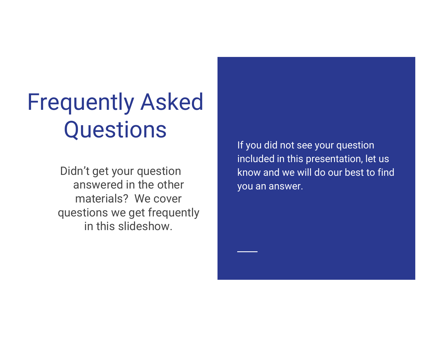### Frequently Asked **Questions**

Didn't get your question answered in the other materials? We cover questions we get frequently in this slideshow.

If you did not see your question included in this presentation, let us know and we will do our best to find you an answer.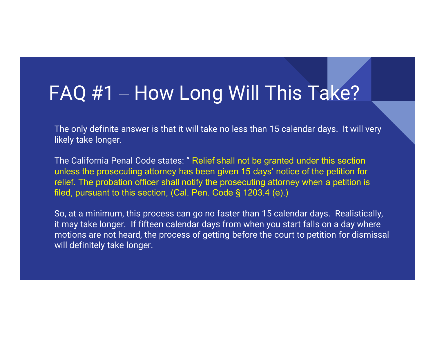#### FAQ #1 – How Long Will This Take?

The only definite answer is that it will take no less than 15 calendar days. It will very likely take longer.

The California Penal Code states: " Relief shall not be granted under this section unless the prosecuting attorney has been given 15 days' notice of the petition for relief. The probation officer shall notify the prosecuting attorney when a petition is FAQ #1 — How Long Will This Take?<br>The only definite answer is that it will take no less than 15 calendar days. It will very<br>likely take longer.<br>The California Penal Code states: "Relief shall not be granted under this sec

So, at a minimum, this process can go no faster than 15 calendar days. Realistically, it may take longer. If fifteen calendar days from when you start falls on a day where motions are not heard, the process of getting before the court to petition for dismissal will definitely take longer.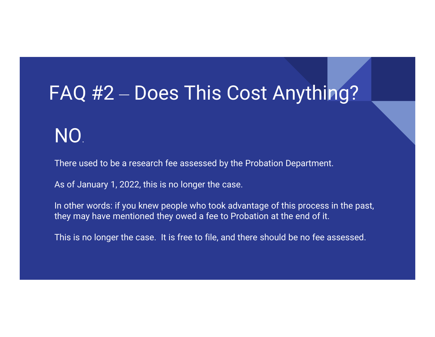#### FAQ #2 – Does This Cost Anything?

#### NO.

There used to be a research fee assessed by the Probation Department.

As of January 1, 2022, this is no longer the case.

In other words: if you knew people who took advantage of this process in the past, they may have mentioned they owed a fee to Probation at the end of it.

This is no longer the case. It is free to file, and there should be no fee assessed.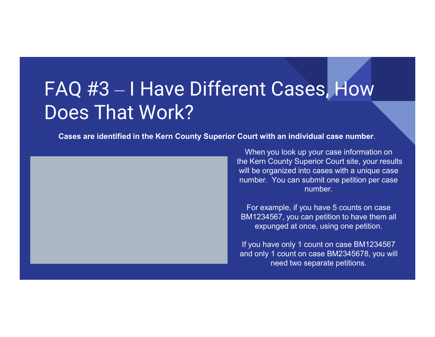#### FAQ #3 – I Have Different Cases, How Does That Work?

Cases are identified in the Kern County Superior Court with an individual case number. When you look up your case information on



the Kern County Superior Court site, your results will be organized into cases with a unique case number. You can submit one petition per case number.

For example, if you have 5 counts on case BM1234567, you can petition to have them all expunged at once, using one petition.

If you have only 1 count on case BM1234567 and only 1 count on case BM2345678, you will need two separate petitions.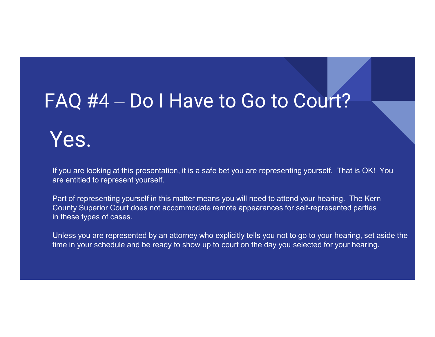#### FAQ #4 – Do | Have to Go to Court?

#### Yes.

If you are looking at this presentation, it is a safe bet you are representing yourself. That is OK! You are entitled to represent yourself.

Part of representing yourself in this matter means you will need to attend your hearing. The Kern County Superior Court does not accommodate remote appearances for self-represented parties in these types of cases.

Unless you are represented by an attorney who explicitly tells you not to go to your hearing, set aside the time in your schedule and be ready to show up to court on the day you selected for your hearing.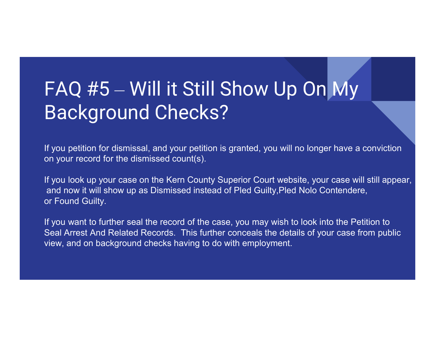# FAQ #5 – Will it Still Show Up On My Background Checks? FAQ #5 — Will it Still Show Up On My<br>Background Checks?<br>Tyou petition for dismissal, and your petition is granted, you will no longer have a conviction<br>on your record for the dismissed count(s).<br>Tyou look up your case on t

If you petition for dismissal, and your petition is granted, you will no longer have a conviction on your record for the dismissed count(s).

If you look up your case on the Kern County Superior Court website, your case will still appear, or Found Guilty.

If you want to further seal the record of the case, you may wish to look into the Petition to Seal Arrest And Related Records. This further conceals the details of your case from public view, and on background checks having to do with employment.